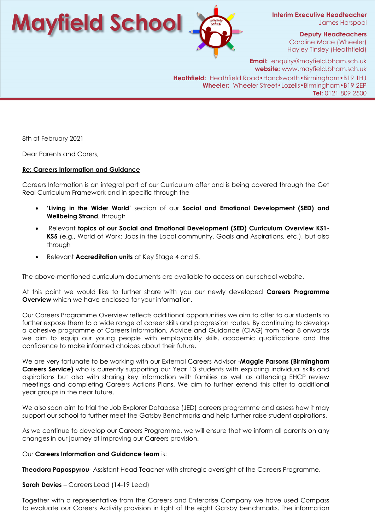**Interim Executive Headteacher** James Horspool

> **Deputy Headteachers** Caroline Mace (Wheeler) Hayley Tinsley (Heathfield)

**Mayfield School**

**Email:** enquiry@mayfield.bham.sch.uk **website:** www.mayfield.bham.sch.uk **Heathfield:** Heathfield Road•Handsworth•Birmingham•B19 1HJ **Wheeler:** Wheeler Street•Lozells•Birmingham•B19 2EP **Tel:** 0121 809 2500

8th of February 2021

Dear Parents and Carers,

## **Re: Careers Information and Guidance**

Careers Information is an integral part of our Curriculum offer and is being covered through the Get Real Curriculum Framework and in specific through the

- **'Living in the Wider World'** section of our **Social and Emotional Development (SED) and Wellbeing Strand**, through
- Relevant **topics of our Social and Emotional Development (SED) Curriculum Overview KS1- KS5** (e.g., World of Work: Jobs in the Local community, Goals and Aspirations, etc.), but also through
- Relevant **Accreditation units** at Key Stage 4 and 5.

The above-mentioned curriculum documents are available to access on our school website.

At this point we would like to further share with you our newly developed **Careers Programme Overview** which we have enclosed for your information.

Our Careers Programme Overview reflects additional opportunities we aim to offer to our students to further expose them to a wide range of career skills and progression routes. By continuing to develop a cohesive programme of Careers Information, Advice and Guidance (CIAG) from Year 8 onwards we aim to equip our young people with employability skills, academic qualifications and the confidence to make informed choices about their future.

We are very fortunate to be working with our External Careers Advisor -**Maggie Parsons (Birmingham Careers Service)** who is currently supporting our Year 13 students with exploring individual skills and aspirations but also with sharing key information with families as well as attending EHCP review meetings and completing Careers Actions Plans. We aim to further extend this offer to additional year groups in the near future.

We also soon aim to trial the Job Explorer Database (JED) careers programme and assess how it may support our school to further meet the Gatsby Benchmarks and help further raise student aspirations.

As we continue to develop our Careers Programme, we will ensure that we inform all parents on any changes in our journey of improving our Careers provision.

## Our **Careers Information and Guidance team** is:

**Theodora Papaspyrou**- Assistant Head Teacher with strategic oversight of the Careers Programme.

**Sarah Davies** – Careers Lead (14-19 Lead)

Together with a representative from the Careers and Enterprise Company we have used Compass to evaluate our Careers Activity provision in light of the eight Gatsby benchmarks. The information